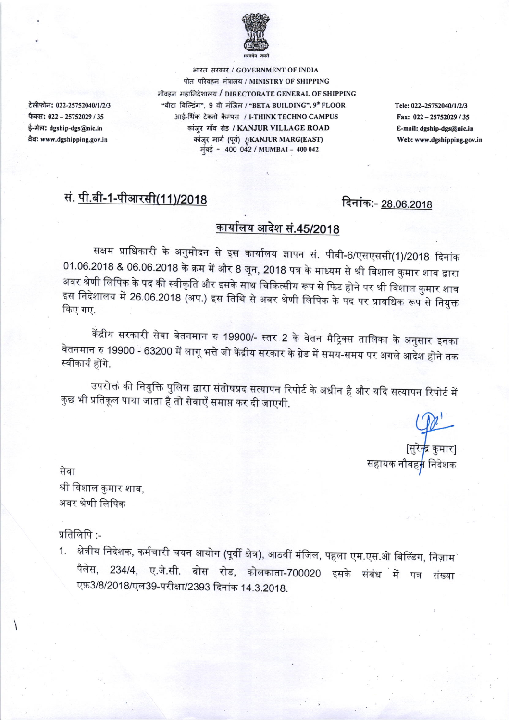

भारत सरकार / GOVERNMENT OF INDIA पोत परिवहन मंत्रालय / MINISTRY OF SHIPPING नौवहन महानिदेशालय / DIRECTORATE GENERAL OF SHIPPING "बीटा बिल्डिंग", 9 वी मंजिल / "BETA BUILDING", 9" FLOOR आई-थिंक टेक्नो कैम्पस / I-THINK TECHNO CAMPUS कांजूर गाँव रोड / KANJUR VILLAGE ROAD कांजुर मार्ग (पूर्व) /KANJUR MARG(EAST) मुंबई - 400 042 / MUMBAI - 400 042

Tele: 022-25752040/1/2/3 Fax: 022-25752029/35 E-mail: dgship-dgs@nic.in Web: www.dgshipping.gov.in

दिनांक:- 28.06.2018

## सं. <u>पी.बी-1-पीआरसी(11)/2018</u>

## कार्यालय आदेश सं.45/2018

सक्षम प्राधिकारी के अनुमोदन से इस कार्यालय ज्ञापन सं. पीबी-6/एसएससी(1)/2018 दिनांक 01.06.2018 & 06.06.2018 के क्रम में और 8 जून, 2018 पत्र के माध्यम से श्री विशाल कुमार शाव द्वारा अवर श्रेणी लिपिक के पद की स्वीकृति और इसके साथ चिकित्सीय रूप से फिट होने पर श्री विशाल कुमार शाव इस निदेशालय में 26.06.2018 (अप.) इस तिथि से अवर श्रेणी लिपिक के पद पर प्रावधिक रूप से नियुक्त किए गए.

केंद्रीय सरकारी सेवा वेतनमान रु 19900/- स्तर 2 के वेतन मैट्रिक्स तालिका के अनुसार इनका वेतनमान रु 19900 - 63200 में लागू भत्ते जो केंद्रीय सरकार के ग्रेड में समय-समय पर अगले आदेश होने तक स्वीकार्य होंगे.

उपरोक्त की नियुक्ति पुलिस द्वारा संतोषप्रद सत्यापन रिपोर्ट के अधीन है और यदि सत्यापन रिपोर्ट में कुछ भी प्रतिकूल पाया जाता है तो सेवाएँ समाप्त कर दी जाएगी.

सहायक नौवह<mark>न</mark>

सेवा श्री विशाल कुमार शाव, अवर श्रेणी लिपिक

प्रतिलिपि :-

1. क्षेत्रीय निदेशक, कर्मचारी चयन आयोग (पूर्वी क्षेत्र), आठवीं मंजिल, पहला एम.एस.ओ बिल्डिंग, निज़ाम पैलेस, 234/4, ए.जे.सी. बोस रोड, कोलकाता-700020 इसके संबंध में पत्र संख्या एफ़3/8/2018/एल39-परीक्षा/2393 दिनांक 14.3.2018.

टेलीफोन: 022-25752040/1/2/3 फैक्स: 022 - 25752029 / 35 ई-मेल: dgship-dgs@nic.in वैब: www.dgshipping.gov.in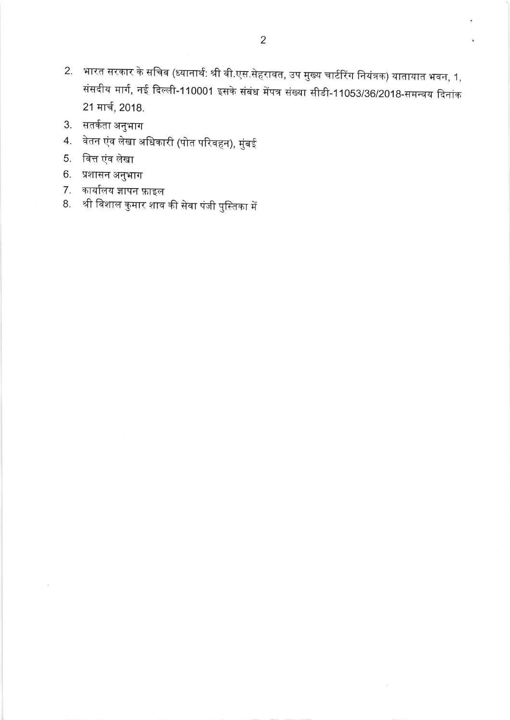- 2. भारत सरकार के सचिव (ध्यानार्थ: श्री वी.एस.सेहरावत, उप मुख्य चार्टरिंग नियंत्रक) यातायात भवन, 1, संसदीय मार्ग, नई दिल्ली-110001 इसके संबंध मेंपत्र संख्या सीडी-11053/36/2018-समन्वय दिनांक 21 मार्च, 2018.
- 3. सतर्कता अनुभाग
- 4. वेतन एंव लेखा अधिकारी (पोत परिवहन), मुंबई
- 5. वित्त एंव लेखा
- 6. प्रशासन अनुभाग
- 7. कार्यालय ज्ञापन फ़ाइल
- श्री विशाल कुमार शाव की सेवा पंजी पुस्तिका में 8.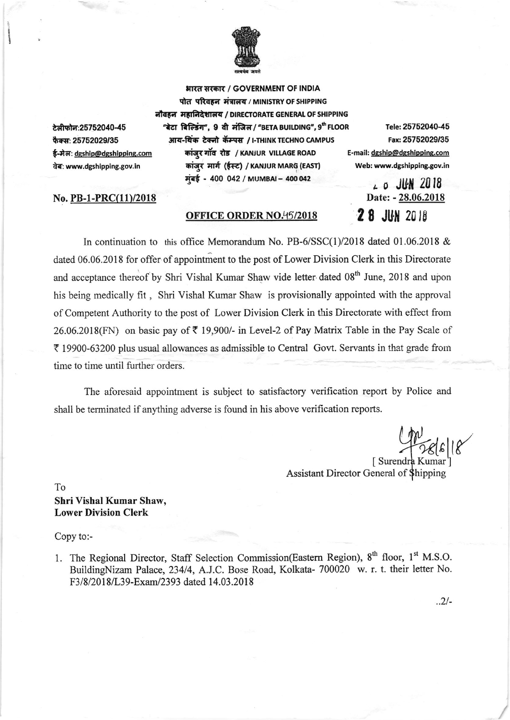

**I** I

> भारत सरकार / GOVERNMENT OF INDIA पोत परिवहन मंत्रालय / MINISTRY OF SHIPPING नौवहन महानिदेशालय / DIRECTORATE GENERAL OF SHIPPING टेलीफोन:25752040-45 "बेटा बिल्डिंग", 9 वी मंजिल / "BETA BUILDING", 9<sup>th</sup> FLOOR Tele: 25752040-45 tm: 25752029/35 grc-Fffi lffit \*qs / rrxtnx recHNo cAMPUs Fax: 25752029/35 ई-मेल: dgship@dgshipping.com कांजुर गाॅव रोड / KANJUR VILLAGE ROAD E-mail: dgship@dgshipping.com t-: www.dgshipping.gov.in 6iET Er.i (ll1q4 / xAN.ruR MARG (EAsTl web; www.dgshipplng.gov.in  $\vec{a}$  + 400 042 / MUMBAI - 400 042

No. PB-1-PRC(11)/2018

## OFFICE ORDER NO.<sup>15</sup>/2018 28 JUN 2018

 $\begin{array}{l} 0 & \text{JUP} & 2018 \\ \text{Date:} & -28.06.2018 \end{array}$ 

In continuation to this office Memorandum No. PB-6/SSC(1)/2018 dated 01.06.2018 & dated 06.06.2018 for offer of appointment to the post of Lower Division Clerk in this Directorate and acceptance thereof by Shri Vishal Kumar Shaw vide letter dated 08<sup>th</sup> June, 2018 and upon his being medically fit, Shri Vishal Kumar Shaw is provisionally appointed with the approval of Competent Authority to the post of Lower Division Clerk in this Directorate with effect from 26.06.2018(FN) on basic pay of  $\overline{\zeta}$  19,900/- in Level-2 of Pay Matrix Table in the Pay Scale of t 19900-63200 plus usual allowances as admissible to Centml Gort. Servants in that grade from time to time until further orders.

The aforesaid appointment is subject to satisfactory verification report by Police and shall be terminated if anything adverse is found in his above verification reports.

 $/$   $\dot{\phi}$  $478618$ 

Surendra Kumar Assistant Director General of \$hipping

To Shri Vishal Kumar Shaw, Lower Division Clerk

Copy to:-

1. The Regional Director, Staff Selection Commission(Eastern Region), 8<sup>th</sup> floor, 1<sup>st</sup> M.S.O. BuildingNizam Palace,234/4, A.J.C. Bose Road, Kolkata- 700020 w. r. t. their letter No. F3/8/2018/L39-Exam/2393 dated 14.03.2018

 $.2/-$ 

/